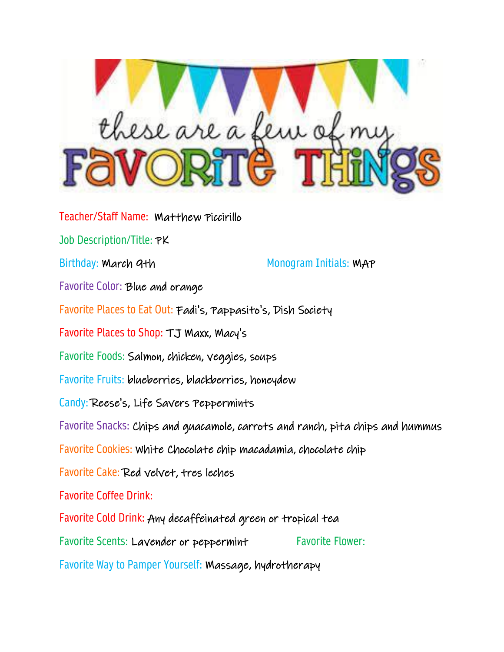

Teacher/Staff Name: Matthew Piccirillo Job Description/Title: PK Birthday: March 9th Monogram Initials: MAP Favorite Color: Blue and orange Favorite Places to Eat Out: Fadi's, Pappasito's, Dish Society Favorite Places to Shop: TJ Maxx, Macy's Favorite Foods: Salmon, chicken, veggies, soups Favorite Fruits: blueberries, blackberries, honeydew Candy: Reese's, Life Savers Peppermints Favorite Snacks: Chips and guacamole, carrots and ranch, pita chips and hummus Favorite Cookies: White Chocolate chip macadamia, chocolate chip Favorite Cake: Red velvet, tres leches Favorite Coffee Drink: Favorite Cold Drink: Any decaffeinated green or tropical tea Favorite Scents: Lavender or peppermint Favorite Flower: Favorite Way to Pamper Yourself: Massage, hydrotherapy